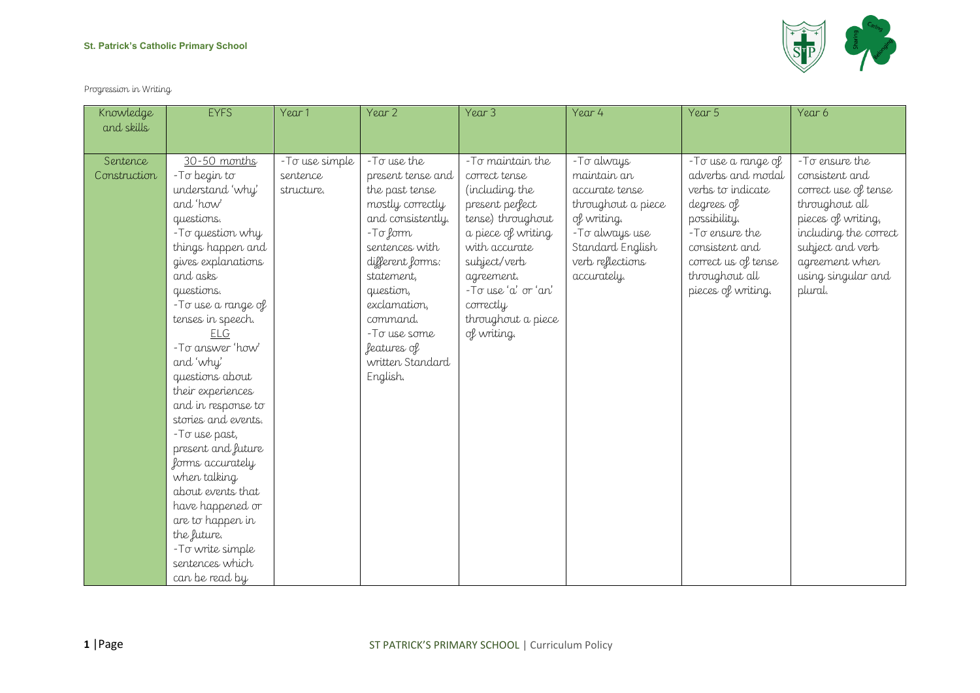## **St. Patrick's Catholic Primary School**

Progression in Writing

| Knowledge                              | <b>EYFS</b>                                                                                                                                                                                                                                                                                       | Year 1                                   | Year <sub>2</sub>                                                                                                                                                                                                                                                   | Year 3                                                                                                                                                                                                                                    | Year 4                                                                                                                                                      | Year 5                                                                                                                                                                                         | Year 6                                                                                                                                                                                           |
|----------------------------------------|---------------------------------------------------------------------------------------------------------------------------------------------------------------------------------------------------------------------------------------------------------------------------------------------------|------------------------------------------|---------------------------------------------------------------------------------------------------------------------------------------------------------------------------------------------------------------------------------------------------------------------|-------------------------------------------------------------------------------------------------------------------------------------------------------------------------------------------------------------------------------------------|-------------------------------------------------------------------------------------------------------------------------------------------------------------|------------------------------------------------------------------------------------------------------------------------------------------------------------------------------------------------|--------------------------------------------------------------------------------------------------------------------------------------------------------------------------------------------------|
|                                        |                                                                                                                                                                                                                                                                                                   |                                          |                                                                                                                                                                                                                                                                     |                                                                                                                                                                                                                                           |                                                                                                                                                             |                                                                                                                                                                                                |                                                                                                                                                                                                  |
| and skills<br>Sentence<br>Construction | 30-50 months<br>-To begin to<br>understand 'why'<br>and 'how'<br>questions.<br>- To question why<br>things happen and<br>gives explanations<br>and asks<br>questions.<br>- To use a range of<br>tenses in speech.<br>FLG<br>-To answer 'how'<br>and 'why'<br>questions about<br>their experiences | -To use simple<br>sentence<br>structure. | -To use the<br>present tense and<br>the past tense<br>mostly correctly<br>and consistently.<br>-To form<br>sentences with<br>different forms:<br>statement,<br>question,<br>exclamation,<br>command.<br>-To use some<br>features of<br>written Standard<br>English. | -To maintain the<br>correct tense<br>(including the<br>present perfect<br>tense) throughout<br>a piece of writing<br>with accurate<br>subject/verb<br>agreement.<br>-To use 'a' or 'an'<br>correctly<br>throughout a piece<br>of writing. | - To always<br>maintain an<br>accurate tense<br>throughout a piece<br>of writing.<br>- To always use<br>Standard English<br>verb reflections<br>accurately. | - To use a range of<br>adverbs and modal<br>verbs to indicate<br>degrees of<br>possibility.<br>-To ensure the<br>consistent and<br>correct us of tense<br>throughout all<br>pieces of writing. | -To ensure the<br>consistent and<br>correct use of tense<br>throughout all<br>pieces of writing,<br>including the correct<br>subject and verb<br>agreement when<br>using singular and<br>plural. |
|                                        | and in response to<br>stories and events.<br>- To use past,<br>present and future<br>forms accurately<br>when talking<br>about events that<br>have happened or<br>are to happen in<br>the future.<br>-To write simple<br>sentences which<br>can be read by                                        |                                          |                                                                                                                                                                                                                                                                     |                                                                                                                                                                                                                                           |                                                                                                                                                             |                                                                                                                                                                                                |                                                                                                                                                                                                  |

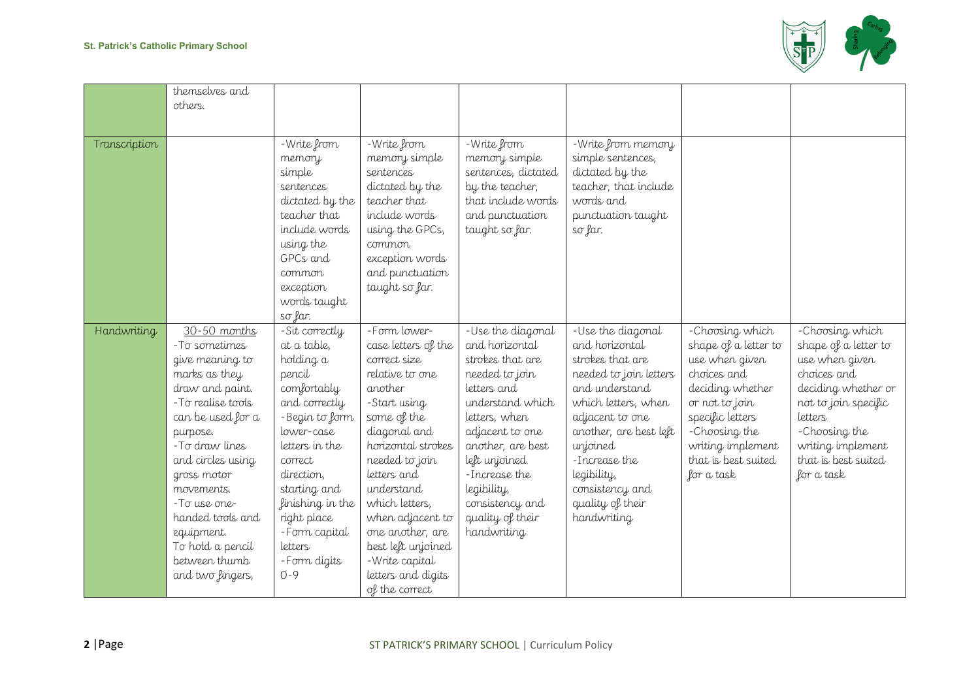

|               | themselves and     |                  |                     |                     |                        |                      |                      |
|---------------|--------------------|------------------|---------------------|---------------------|------------------------|----------------------|----------------------|
|               | others.            |                  |                     |                     |                        |                      |                      |
|               |                    |                  |                     |                     |                        |                      |                      |
|               |                    |                  |                     |                     |                        |                      |                      |
| Transcription |                    | - Write from     | -Write from         | -Write from         | -Write from memory     |                      |                      |
|               |                    | memory           | memory simple       | memory simple       | simple sentences,      |                      |                      |
|               |                    | simple           | sentences           | sentences, dictated | dictated by the        |                      |                      |
|               |                    | sentences        | dictated by the     | by the teacher,     | teacher, that include  |                      |                      |
|               |                    | dictated by the  | teacher that        | that include words  | words and              |                      |                      |
|               |                    | teacher that     | include words       | and punctuation     | punctuation taught     |                      |                      |
|               |                    | include words    | using the GPCs,     | taught so far.      | so far.                |                      |                      |
|               |                    | using the        | common              |                     |                        |                      |                      |
|               |                    | GPCs and         | exception words     |                     |                        |                      |                      |
|               |                    | common           | and punctuation     |                     |                        |                      |                      |
|               |                    | exception        | taught so far.      |                     |                        |                      |                      |
|               |                    | words taught     |                     |                     |                        |                      |                      |
|               |                    | $s\sigma$ far.   |                     |                     |                        |                      |                      |
| Handwriting   | 30-50 months       | -Sit correctly   | -Form lower-        | -Use the diagonal   | -Use the diagonal      | -Choosing which      | -Choosing which      |
|               | -To sometimes      | at a table,      | case letters of the | and horizontal      | and horizontal         | shape of a letter to | shape of a letter to |
|               | give meaning to    | holding a        | correct size        | strokes that are    | strokes that are       | use when given       | use when given       |
|               | marks as they      | pencil           | relative to one     | needed to join      | needed to join letters | choices and          | choices and          |
|               | draw and paint.    | comfortably      | another             | letters and         | and understand         | deciding whether     | deciding whether or  |
|               | - To realise tools | and correctly    | -Start using        | understand which    | which letters, when    | or not to join       | not to join specific |
|               | can be used for a  | -Begin to form   | some of the         | letters, when       | adjacent to one        | specific letters     | letters              |
|               | purpose.           | lower-case       | diagonal and        | adjacent to one     | another, are best left | -Choosing the        | -Choosing the        |
|               | -To draw lines     | letters in the   | horizontal strokes  | another, are best   | unjoined               | writing implement    | writing implement    |
|               | and circles using  | correct          | needed to join      | left unjoined       | -Increase the          | that is best suited  | that is best suited  |
|               | gross motor        | direction,       | letters and         | -Increase the       | legibility,            | for a task           | for a task           |
|               | movements.         | starting and     | understand          | legibility,         | consistency and        |                      |                      |
|               | -To use one-       | finishing in the | which letters,      | consistency and     | quality of their       |                      |                      |
|               | handed tools and   | right place      | when adjacent to    | quality of their    | handwriting            |                      |                      |
|               | equipment.         | -Form capital    | one another, are    | handwriting         |                        |                      |                      |
|               | To hold a pencil   | letters          | best left unjoined  |                     |                        |                      |                      |
|               | between thumb      | -Form digits     | -Write capital      |                     |                        |                      |                      |
|               | and two fingers,   | $0 - 9$          | letters and digits  |                     |                        |                      |                      |
|               |                    |                  | of the correct      |                     |                        |                      |                      |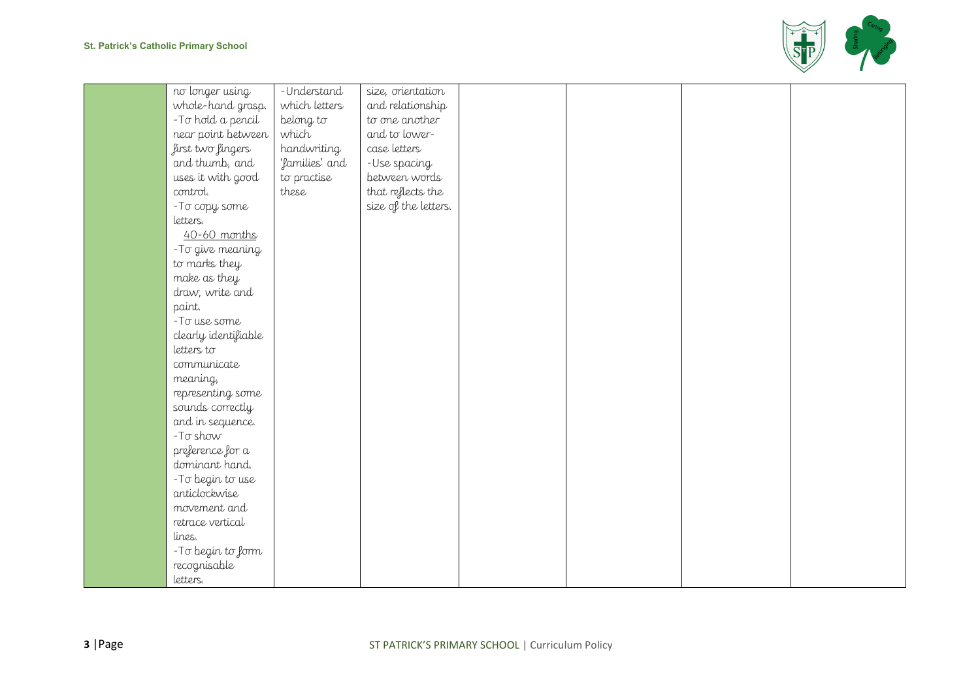

| no longer using      | -Understand    | size, orientation    |  |  |
|----------------------|----------------|----------------------|--|--|
| whole-hand grasp.    | which letters  | and relationship     |  |  |
| - To hold a pencil   | belong to      | to one another       |  |  |
| near point between   | which          | and to lower-        |  |  |
| first two fingers    | handwriting    | case letters         |  |  |
| and thumb, and       | 'families' and | -Use spacing         |  |  |
| uses it with good    | to practise    | between words        |  |  |
| control.             | these          | that reflects the    |  |  |
| -To copy some        |                | size of the letters. |  |  |
| letters.             |                |                      |  |  |
| 40-60 months         |                |                      |  |  |
| -To give meaning     |                |                      |  |  |
| to marks they        |                |                      |  |  |
| make as they         |                |                      |  |  |
| draw, write and      |                |                      |  |  |
| paint.               |                |                      |  |  |
| -To use some         |                |                      |  |  |
| clearly identifiable |                |                      |  |  |
| letters to           |                |                      |  |  |
| communicate          |                |                      |  |  |
| meaning,             |                |                      |  |  |
| representing some    |                |                      |  |  |
| sounds correctly     |                |                      |  |  |
| and in sequence.     |                |                      |  |  |
| $-T\sigma$ show      |                |                      |  |  |
| preference for a     |                |                      |  |  |
| dominant hand.       |                |                      |  |  |
| -To begin to use     |                |                      |  |  |
| anticlockwise        |                |                      |  |  |
| movement and         |                |                      |  |  |
| retrace vertical     |                |                      |  |  |
| lines.               |                |                      |  |  |
| -To begin to form    |                |                      |  |  |
| recognisable         |                |                      |  |  |
| letters.             |                |                      |  |  |
|                      |                |                      |  |  |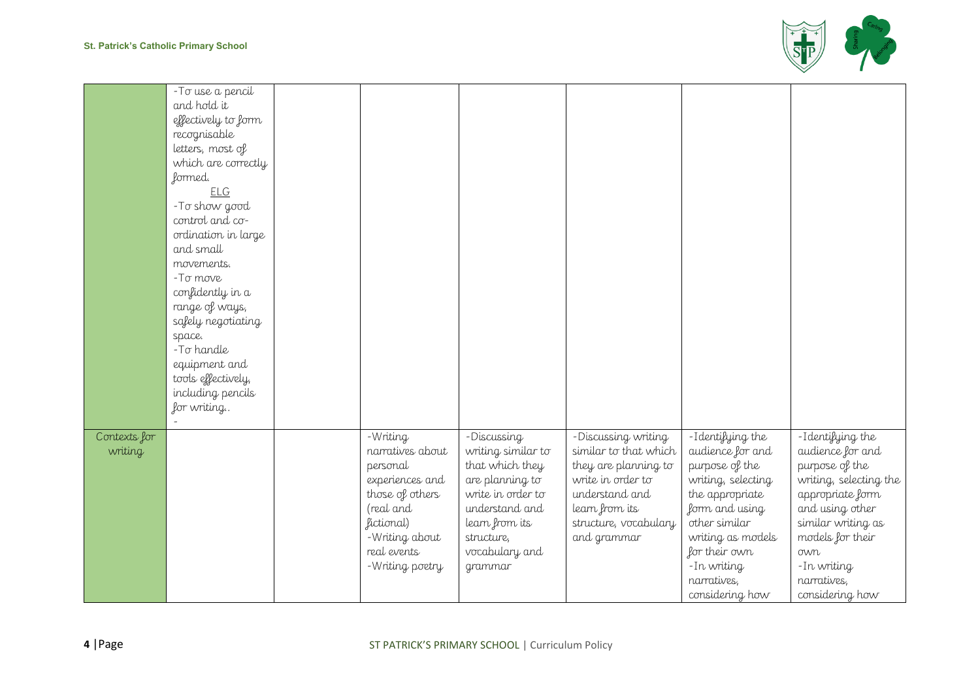

|                         | - To use a pencil<br>and hold it<br>effectively to form                               |                                                                                             |                                                                                                                |                                                                                                                               |                                                                                                                   |                                                                                                                         |
|-------------------------|---------------------------------------------------------------------------------------|---------------------------------------------------------------------------------------------|----------------------------------------------------------------------------------------------------------------|-------------------------------------------------------------------------------------------------------------------------------|-------------------------------------------------------------------------------------------------------------------|-------------------------------------------------------------------------------------------------------------------------|
|                         | recognisable<br>letters, most of<br>which are correctly<br>formed.                    |                                                                                             |                                                                                                                |                                                                                                                               |                                                                                                                   |                                                                                                                         |
|                         | <b>ELG</b><br>-To show good<br>control and co-<br>ordination in large                 |                                                                                             |                                                                                                                |                                                                                                                               |                                                                                                                   |                                                                                                                         |
|                         | and small<br>movements.<br>$-T\sigma$ move<br>confidently in a                        |                                                                                             |                                                                                                                |                                                                                                                               |                                                                                                                   |                                                                                                                         |
|                         | range of ways,<br>safely negotiating<br>space.                                        |                                                                                             |                                                                                                                |                                                                                                                               |                                                                                                                   |                                                                                                                         |
|                         | -To handle<br>equipment and<br>tools effectively,<br>including pencils<br>for writing |                                                                                             |                                                                                                                |                                                                                                                               |                                                                                                                   |                                                                                                                         |
|                         |                                                                                       |                                                                                             |                                                                                                                |                                                                                                                               |                                                                                                                   |                                                                                                                         |
| Contexts for<br>writing |                                                                                       | -Writing<br>narratives about<br>personal<br>experiences and<br>those of others<br>(real and | -Discussing<br>writing similar to<br>that which they<br>are planning to<br>write in order to<br>understand and | -Discussing writing<br>similar to that which<br>they are planning to<br>write in order to<br>understand and<br>learn from its | -Identifying the<br>audience for and<br>purpose of the<br>writing, selecting<br>the appropriate<br>form and using | -Identifying the<br>audience for and<br>purpose of the<br>writing, selecting the<br>appropriate form<br>and using other |
|                         |                                                                                       | fictional)<br>-Writing about<br>real events<br>-Writing poetry                              | learn from its<br>structure,<br>vocabulary and<br>grammar                                                      | structure, vocabulary<br>and grammar                                                                                          | other similar<br>writing as models<br>for their own<br>- In writing<br>narratives,                                | similar writing as<br>models for their<br>own<br>- In writing<br>narratives,                                            |
|                         |                                                                                       |                                                                                             |                                                                                                                |                                                                                                                               | considering how                                                                                                   | considering how                                                                                                         |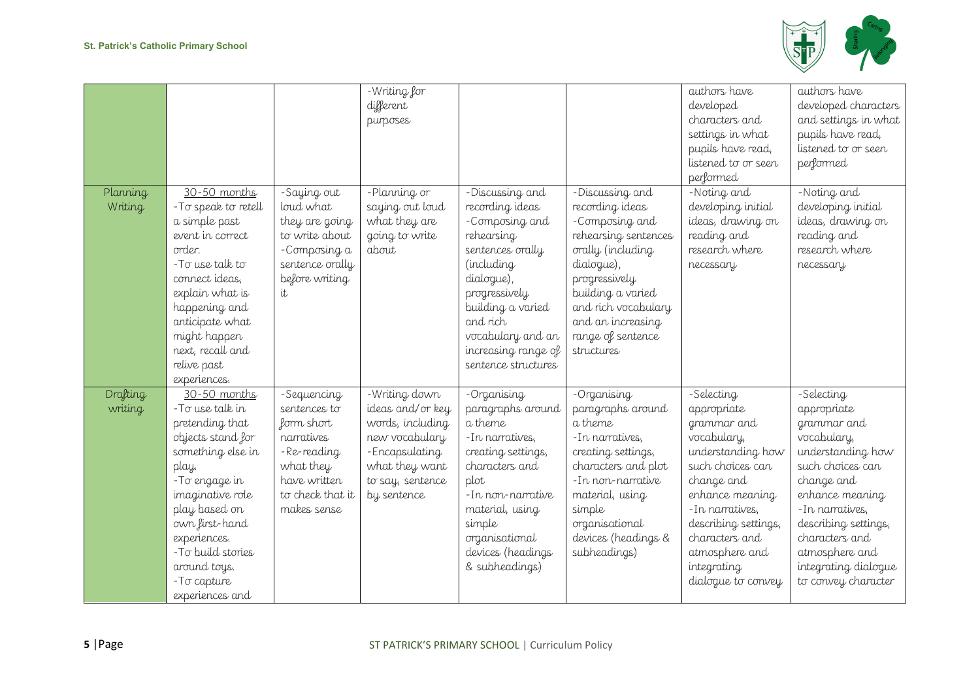

|                     |                                                                                                                                                                                                                                                                       |                                                                                                                                        | -Writing for<br>different<br>purposes                                                                                                          |                                                                                                                                                                                                                                         |                                                                                                                                                                                                                                      | authors have<br>developed<br>characters and<br>settings in what<br>pupils have read,<br>listened to or seen<br>performed                                                                                                                               | authors have<br>developed characters<br>and settings in what<br>pupils have read,<br>listened to or seen<br>performed                                                                                                                                            |
|---------------------|-----------------------------------------------------------------------------------------------------------------------------------------------------------------------------------------------------------------------------------------------------------------------|----------------------------------------------------------------------------------------------------------------------------------------|------------------------------------------------------------------------------------------------------------------------------------------------|-----------------------------------------------------------------------------------------------------------------------------------------------------------------------------------------------------------------------------------------|--------------------------------------------------------------------------------------------------------------------------------------------------------------------------------------------------------------------------------------|--------------------------------------------------------------------------------------------------------------------------------------------------------------------------------------------------------------------------------------------------------|------------------------------------------------------------------------------------------------------------------------------------------------------------------------------------------------------------------------------------------------------------------|
| Planning<br>Writing | 30-50 months<br>-To speak to retell<br>a simple past<br>event in correct<br>order.<br>-To use talk to<br>connect ideas,<br>explain what is<br>happening and<br>anticipate what<br>might happen<br>next, recall and<br>relive past<br>experiences.                     | -Saying out<br>loud what<br>they are going<br>to write about<br>-Composing a<br>sentence orally<br>before writing<br>it                | -Planning or<br>saying out loud<br>what they are<br>going to write<br>about                                                                    | -Discussing and<br>recording ideas<br>-Composing and<br>rehearsing<br>sentences orally<br>(including<br>dialogue),<br>progressively<br>building a varied<br>and rich<br>vocabulary and an<br>increasing range of<br>sentence structures | -Discussing and<br>recording ideas<br>-Composing and<br>rehearsing sentences<br>orally (including<br>dialogue),<br>progressively<br>building a varied<br>and rich vocabulary<br>and an increasing<br>range of sentence<br>structures | -Noting and<br>developing initial<br>ideas, drawing on<br>reading and<br>research where<br>necessary                                                                                                                                                   | -Noting and<br>developing initial<br>ideas, drawing on<br>reading and<br>research where<br>necessary                                                                                                                                                             |
| Drafting<br>writing | 30-50 months<br>-To use talk in<br>pretending that<br>objects stand for<br>something else in<br>play.<br>-To engage in<br>imaginative role<br>play based on<br>own first-hand<br>experiences.<br>-To build stories<br>around toys.<br>- To capture<br>experiences and | -Sequencing<br>sentences to<br>form short<br>narratives<br>-Re-reading<br>what they<br>have written<br>to check that it<br>makes sense | -Writing down<br>ideas and/or key<br>words, including<br>new vocabulary<br>-Encapsulating<br>what they want<br>to say, sentence<br>by sentence | -Organising<br>paragraphs around<br>a theme<br>- In narratives,<br>creating settings,<br>characters and<br>plot<br>- In non-narrative<br>material, using<br>simple<br>organisational<br>devices (headings<br>& subheadings)             | -Organising<br>paragraphs around<br>a theme<br>-In narratives,<br>creating settings,<br>characters and plot<br>-In non-narrative<br>material, using<br>simple<br>organisational<br>devices (headings &<br>subheadings)               | -Selecting<br>appropriate<br>grammar and<br>vocabulary,<br>understanding how<br>such choices can<br>change and<br>enhance meaning<br>- In narratives,<br>describing settings,<br>characters and<br>atmosphere and<br>integrating<br>dialogue to convey | -Selecting<br>appropriate<br>grammar and<br>vocabulary,<br>understanding how<br>such choices can<br>change and<br>enhance meaning<br>- In narratives,<br>describing settings,<br>characters and<br>atmosphere and<br>integrating dialogue<br>to convey character |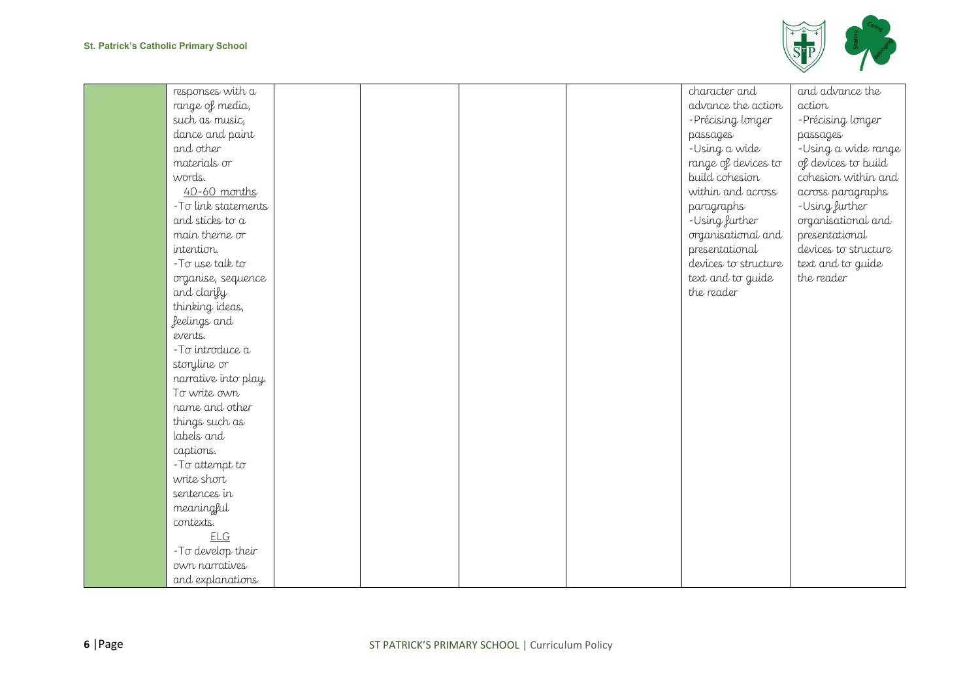

| responses with a     |  |  | character and        | and advance the      |
|----------------------|--|--|----------------------|----------------------|
| range of media,      |  |  | advance the action   | action               |
| such as music,       |  |  | -Précising longer    | -Précising longer    |
| dance and paint      |  |  | passages             | passages             |
| and other            |  |  | -Using a wide        | -Using a wide range  |
| materials or         |  |  | range of devices to  | of devices to build  |
| words.               |  |  | build cohesion       | cohesion within and  |
| 40-60 months         |  |  | within and across    | across paragraphs    |
| -To link statements  |  |  | paragraphs           | -Using further       |
| and sticks to a      |  |  | -Using further       | organisational and   |
| main theme or        |  |  | organisational and   | presentational       |
| intention.           |  |  | presentational       | devices to structure |
| -To use talk to      |  |  | devices to structure | text and to guide    |
| organise, sequence   |  |  | text and to guide    | the reader           |
| and clarify          |  |  | the reader           |                      |
| thinking ideas,      |  |  |                      |                      |
| feelings and         |  |  |                      |                      |
| events.              |  |  |                      |                      |
| -To introduce a      |  |  |                      |                      |
| storyline or         |  |  |                      |                      |
| narrative into play. |  |  |                      |                      |
| To write own         |  |  |                      |                      |
| name and other       |  |  |                      |                      |
| things such as       |  |  |                      |                      |
| labels and           |  |  |                      |                      |
| captions.            |  |  |                      |                      |
| -To attempt to       |  |  |                      |                      |
| write short          |  |  |                      |                      |
| sentences in         |  |  |                      |                      |
| meaningful           |  |  |                      |                      |
| contexts.            |  |  |                      |                      |
| <b>ELG</b>           |  |  |                      |                      |
| -To develop their    |  |  |                      |                      |
| own narratives       |  |  |                      |                      |
| and explanations     |  |  |                      |                      |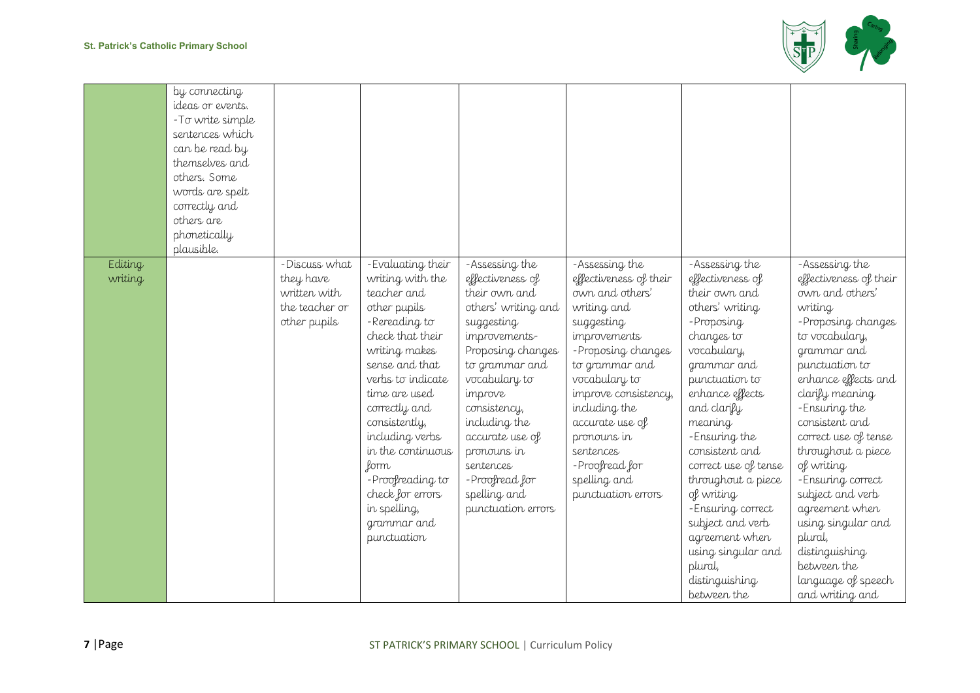

|                    | by connecting<br>ideas or events.<br>- To write simple<br>sentences which<br>can be read by<br>themselves and<br>others. Some<br>words are spelt<br>correctly and<br>others are<br>phonetically<br>plausible. |                                                                              |                                                                                                                                                                                                                                                                                                                                                            |                                                                                                                                                                                                                                                                                                                      |                                                                                                                                                                                                                                                                                                                   |                                                                                                                                                                                                                                                                                                                                                                                                                              |                                                                                                                                                                                                                                                                                                                                                                                                                                                                |
|--------------------|---------------------------------------------------------------------------------------------------------------------------------------------------------------------------------------------------------------|------------------------------------------------------------------------------|------------------------------------------------------------------------------------------------------------------------------------------------------------------------------------------------------------------------------------------------------------------------------------------------------------------------------------------------------------|----------------------------------------------------------------------------------------------------------------------------------------------------------------------------------------------------------------------------------------------------------------------------------------------------------------------|-------------------------------------------------------------------------------------------------------------------------------------------------------------------------------------------------------------------------------------------------------------------------------------------------------------------|------------------------------------------------------------------------------------------------------------------------------------------------------------------------------------------------------------------------------------------------------------------------------------------------------------------------------------------------------------------------------------------------------------------------------|----------------------------------------------------------------------------------------------------------------------------------------------------------------------------------------------------------------------------------------------------------------------------------------------------------------------------------------------------------------------------------------------------------------------------------------------------------------|
| Editing<br>writing |                                                                                                                                                                                                               | -Discuss what<br>they have<br>written with<br>the teacher or<br>other pupils | -Evaluating their<br>writing with the<br>teacher and<br>other pupils<br>-Rereading to<br>check that their<br>writing makes<br>sense and that<br>verbs to indicate<br>time are used<br>correctly and<br>consistently,<br>including verbs<br>in the continuous<br>form<br>-Proofreading to<br>check for errors<br>in spelling,<br>grammar and<br>punctuation | -Assessing the<br>effectiveness of<br>their own and<br>others' writing and<br>suggesting<br>improvements-<br>Proposing changes<br>to grammar and<br>vocabulary to<br>improve<br>consistency,<br>including the<br>accurate use of<br>pronouns in<br>sentences<br>-Proofread for<br>spelling and<br>punctuation errors | -Assessing the<br>effectiveness of their<br>own and others'<br>writing and<br>suggesting<br>improvements<br>-Proposing changes<br>to grammar and<br>vocabulary to<br>improve consistency,<br>including the<br>accurate use of<br>pronouns in<br>sentences<br>-Proofread for<br>spelling and<br>punctuation errors | -Assessing the<br>effectiveness of<br>their own and<br>others' writing<br>- Proposing<br>changes to<br>vocabulary,<br>grammar and<br>punctuation to<br>enhance effects<br>and clarify<br>meaning<br>-Ensuring the<br>consistent and<br>correct use of tense<br>throughout a piece<br>of writing<br>-Ensuring correct<br>subject and verb<br>agreement when<br>using singular and<br>plural,<br>distinguishing<br>between the | -Assessing the<br>effectiveness of their<br>own and others'<br>writing<br>-Proposing changes<br>to vocabulary,<br>grammar and<br>punctuation to<br>enhance effects and<br>clarify meaning<br>-Ensuring the<br>consistent and<br>correct use of tense<br>throughout a piece<br>of writing<br>-Ensuring correct<br>subject and verb<br>agreement when<br>using singular and<br>plural,<br>distinguishing<br>between the<br>language of speech<br>and writing and |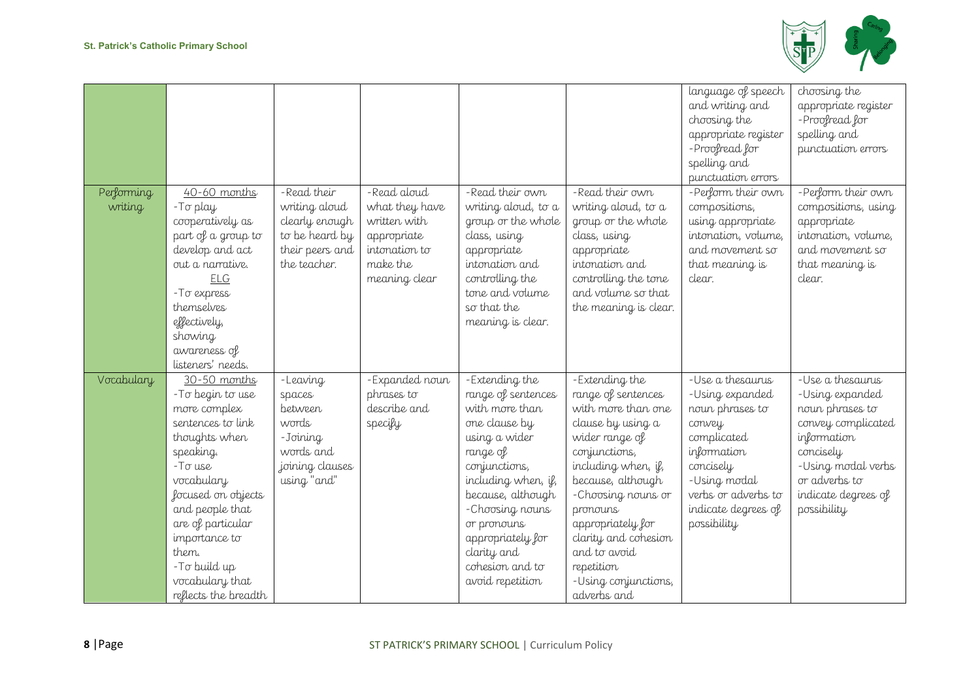

|                       |                                                                                                                                                                                                                                                                                        |                                                                                                      |                                                                                                            |                                                                                                                                                                                                                                                                                |                                                                                                                                                                                                                                                                                                                    | language of speech<br>and writing and<br>choosing the<br>appropriate register<br>-Proofread for<br>spelling and<br>punctuation errors                                                    | choosing the<br>appropriate register<br>- Proofread for<br>spelling and<br>punctuation errors                                                                                          |
|-----------------------|----------------------------------------------------------------------------------------------------------------------------------------------------------------------------------------------------------------------------------------------------------------------------------------|------------------------------------------------------------------------------------------------------|------------------------------------------------------------------------------------------------------------|--------------------------------------------------------------------------------------------------------------------------------------------------------------------------------------------------------------------------------------------------------------------------------|--------------------------------------------------------------------------------------------------------------------------------------------------------------------------------------------------------------------------------------------------------------------------------------------------------------------|------------------------------------------------------------------------------------------------------------------------------------------------------------------------------------------|----------------------------------------------------------------------------------------------------------------------------------------------------------------------------------------|
| Performing<br>writing | 40-60 months<br>$-T\sigma$ play<br>cooperatively as<br>part of a group to<br>develop and act<br>out a narrative.<br><b>ELG</b><br>-To express<br>themselves<br>effectively,<br>showing<br>awareness of<br>listeners' needs.                                                            | - Read their<br>writing aloud<br>clearly enough<br>to be heard by<br>their peers and<br>the teacher. | -Read aloud<br>what they have<br>written with<br>appropriate<br>intonation to<br>make the<br>meaning clear | -Read their own<br>writing aloud, to a<br>group or the whole<br>class, using<br>appropriate<br>intonation and<br>controlling the<br>tone and volume<br>so that the<br>meaning is clear.                                                                                        | -Read their own<br>writing aloud, to a<br>group or the whole<br>class, using<br>appropriate<br>intonation and<br>controlling the tone<br>and volume so that<br>the meaning is clear.                                                                                                                               | -Perform their own<br>compositions,<br>using appropriate<br>intonation, volume,<br>and movement so<br>that meaning is<br>clear.                                                          | -Perform their own<br>compositions, using<br>appropriate<br>intonation, volume,<br>and movement so<br>that meaning is<br>clear.                                                        |
| Vocabulary            | 30-50 months<br>-To begin to use<br>more complex<br>sentences to link<br>thoughts when<br>speaking.<br>$-T\sigma$ use<br>vocabulary<br>focused on objects<br>and people that<br>are of particular<br>importance to<br>them.<br>-To build up<br>vocabulary that<br>reflects the breadth | -Leaving<br>spaces<br>between<br>words<br>-Joining<br>words and<br>joining clauses<br>using "and"    | -Expanded noun<br>phrases to<br>describe and<br>specify                                                    | -Extending the<br>range of sentences<br>with more than<br>one clause by<br>using a wider<br>range of<br>conjunctions,<br>including when, if,<br>because, although<br>-Choosing nouns<br>or pronouns<br>appropriately for<br>clarity and<br>cohesion and to<br>avoid repetition | -Extending the<br>range of sentences<br>with more than one<br>clause by using a<br>wider range of<br>conjunctions,<br>including when, if,<br>because, although<br>-Choosing nouns or<br>pronouns<br>appropriately for<br>clarity and cohesion<br>and to avoid<br>repetition<br>-Using conjunctions,<br>adverbs and | -Use a thesaurus<br>-Using expanded<br>noun phrases to<br>convey<br>complicated<br>information<br>concisely<br>-Using modal<br>verbs or adverbs to<br>indicate degrees of<br>possibility | - Use a thesaurus<br>-Using expanded<br>noun phrases to<br>convey complicated<br>information<br>concisely<br>-Using modal verbs<br>or adverbs to<br>indicate degrees of<br>possibility |